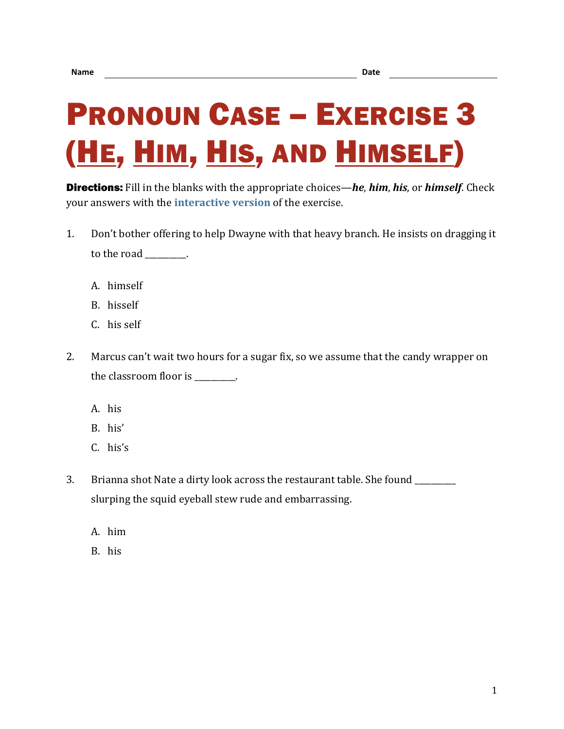## PRONOUN CASE – EXERCISE 3 (HE, HIM, HIS, AND HIMSELF)

Directions: Fill in the blanks with the appropriate choices—*he*, *him*, *his*, or *himself*. Check your answers with the **[interactive version](https://chompchomp.com/hotpotatoes/procase03.htm)** of the exercise.

- 1. Don't bother offering to help Dwayne with that heavy branch. He insists on dragging it to the road \_\_\_\_\_\_\_\_\_\_.
	- A. himself
	- B. hisself
	- C. his self
- 2. Marcus can't wait two hours for a sugar fix, so we assume that the candy wrapper on the classroom floor is  $\qquad \qquad$ .
	- A. his
	- B. his'
	- C. his's
- 3. Brianna shot Nate a dirty look across the restaurant table. She found \_\_\_\_\_\_\_\_\_\_ slurping the squid eyeball stew rude and embarrassing.
	- A. him
	- B. his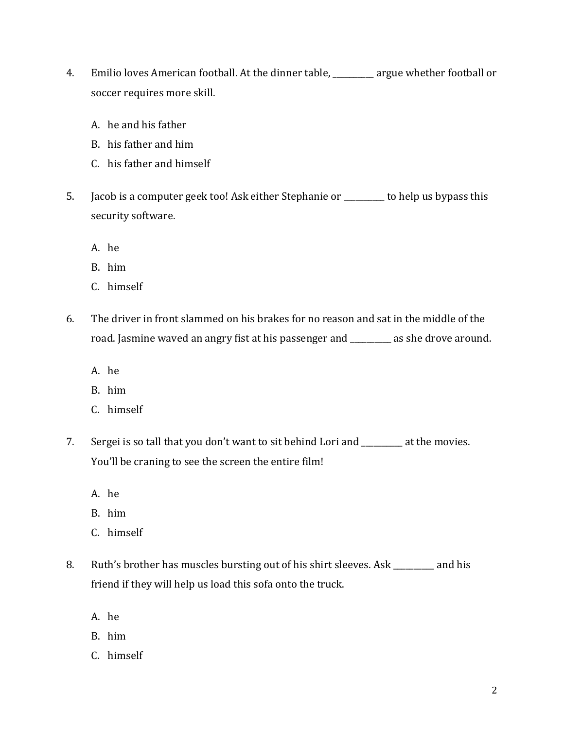- 4. Emilio loves American football. At the dinner table, \_\_\_\_\_\_\_\_\_\_ argue whether football or soccer requires more skill.
	- A. he and his father
	- B. his father and him
	- C. his father and himself
- 5. Jacob is a computer geek too! Ask either Stephanie or \_\_\_\_\_\_\_\_\_\_ to help us bypass this security software.
	- A. he
	- B. him
	- C. himself
- 6. The driver in front slammed on his brakes for no reason and sat in the middle of the road. Jasmine waved an angry fist at his passenger and \_\_\_\_\_\_\_\_\_\_ as she drove around.
	- A. he
	- B. him
	- C. himself
- 7. Sergei is so tall that you don't want to sit behind Lori and \_\_\_\_\_\_\_\_\_ at the movies. You'll be craning to see the screen the entire film!
	- A. he
	- B. him
	- C. himself
- 8. Ruth's brother has muscles bursting out of his shirt sleeves. Ask \_\_\_\_\_\_\_\_\_\_ and his friend if they will help us load this sofa onto the truck.
	- A. he
	- B. him
	- C. himself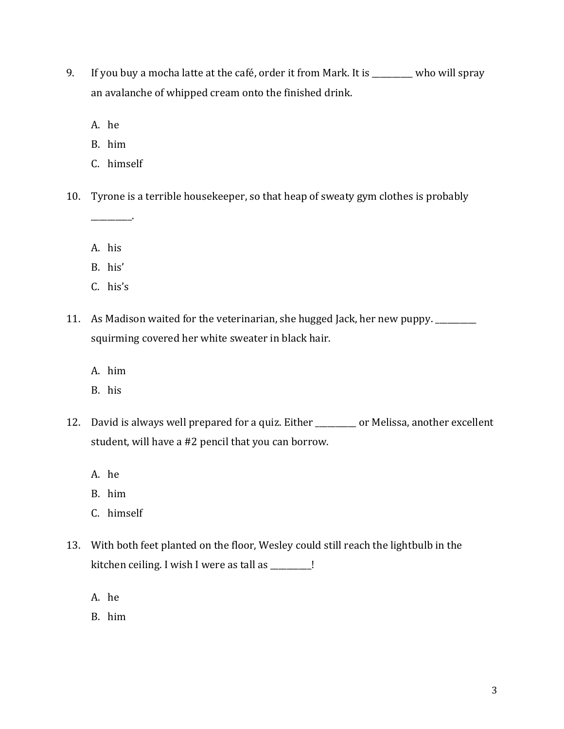9. If you buy a mocha latte at the café, order it from Mark. It is \_\_\_\_\_\_\_\_\_\_ who will spray an avalanche of whipped cream onto the finished drink.

A. he

B. him

C. himself

10. Tyrone is a terrible housekeeper, so that heap of sweaty gym clothes is probably

A. his

\_\_\_\_\_\_\_\_\_\_.

B. his'

- C. his's
- 11. As Madison waited for the veterinarian, she hugged Jack, her new puppy. \_\_\_\_\_\_\_\_\_\_ squirming covered her white sweater in black hair.
	- A. him
	- B. his
- 12. David is always well prepared for a quiz. Either \_\_\_\_\_\_\_ or Melissa, another excellent student, will have a #2 pencil that you can borrow.
	- A. he
	- B. him
	- C. himself
- 13. With both feet planted on the floor, Wesley could still reach the lightbulb in the kitchen ceiling. I wish I were as tall as \_\_\_\_\_\_\_\_\_\_!
	- A. he
	- B. him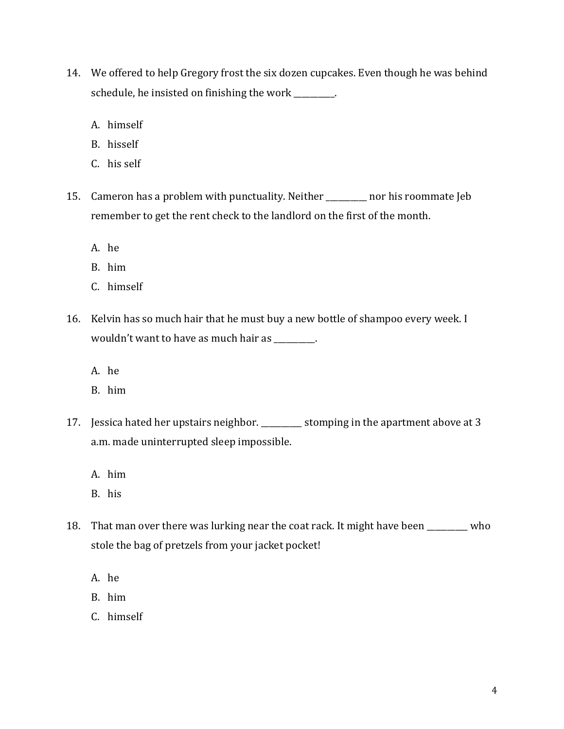- 14. We offered to help Gregory frost the six dozen cupcakes. Even though he was behind schedule, he insisted on finishing the work \_\_\_\_\_\_\_\_.
	- A. himself
	- B. hisself
	- C. his self
- 15. Cameron has a problem with punctuality. Neither \_\_\_\_\_\_\_\_\_\_ nor his roommate Jeb remember to get the rent check to the landlord on the first of the month.
	- A. he
	- B. him
	- C. himself
- 16. Kelvin has so much hair that he must buy a new bottle of shampoo every week. I wouldn't want to have as much hair as \_\_\_\_\_\_\_\_\_\_.
	- A. he
	- B. him
- 17. Jessica hated her upstairs neighbor. \_\_\_\_\_\_\_\_\_\_ stomping in the apartment above at 3 a.m. made uninterrupted sleep impossible.
	- A. him
	- B. his
- 18. That man over there was lurking near the coat rack. It might have been \_\_\_\_\_\_\_\_\_\_ who stole the bag of pretzels from your jacket pocket!
	- A. he
	- B. him
	- C. himself